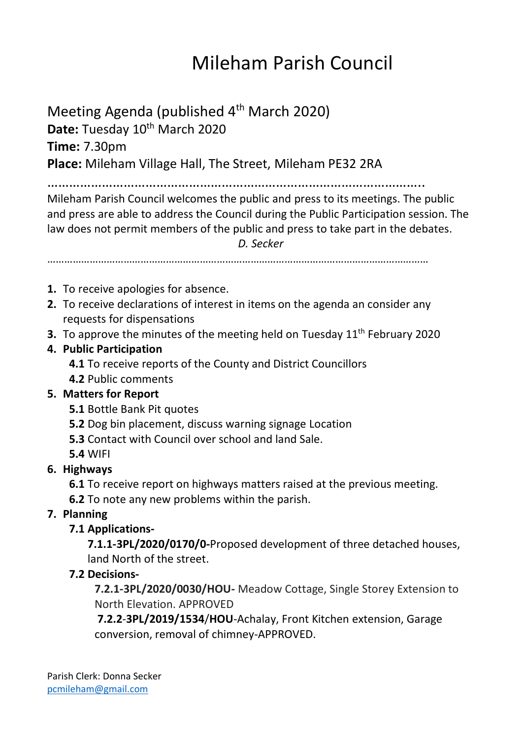# Mileham Parish Council

Meeting Agenda (published 4<sup>th</sup> March 2020) Date: Tuesday 10<sup>th</sup> March 2020

**Time:** 7.30pm

**Place:** Mileham Village Hall, The Street, Mileham PE32 2RA

…………………………………………………………………………………………..

Mileham Parish Council welcomes the public and press to its meetings. The public and press are able to address the Council during the Public Participation session. The law does not permit members of the public and press to take part in the debates.

*D. Secker*

………………………………………………………………………………………………………………………

- **1.** To receive apologies for absence.
- **2.** To receive declarations of interest in items on the agenda an consider any requests for dispensations
- **3.** To approve the minutes of the meeting held on Tuesday 11<sup>th</sup> February 2020
- **4. Public Participation**

**4.1** To receive reports of the County and District Councillors

**4.2** Public comments

# **5. Matters for Report**

- **5.1** Bottle Bank Pit quotes
- **5.2** Dog bin placement, discuss warning signage Location
- **5.3** Contact with Council over school and land Sale.
- **5.4** WIFI

# **6. Highways**

**6.1** To receive report on highways matters raised at the previous meeting.

**6.2** To note any new problems within the parish.

# **7. Planning**

# **7.1 Applications-**

**7.1.1-3PL/2020/0170/0-**Proposed development of three detached houses, land North of the street.

# **7.2 Decisions-**

**7.2.1-3PL/2020/0030/HOU-** Meadow Cottage, Single Storey Extension to North Elevation. APPROVED

**7.2.2**-**3PL/2019/1534**/**HOU**-Achalay, Front Kitchen extension, Garage conversion, removal of chimney-APPROVED.